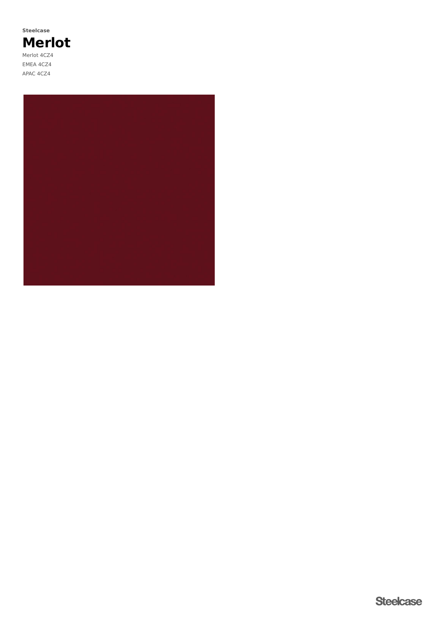**Merlot** Merlot 4CZ4 EMEA 4CZ4 APAC 4CZ4 **Steelcase**

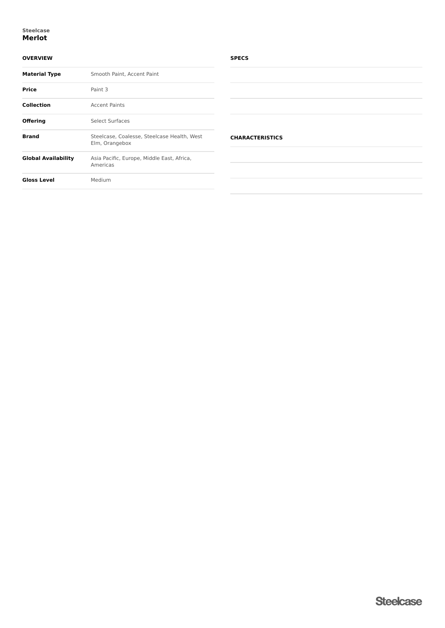#### **Merlot Steelcase**

## **OVERVIEW**

| <b>Material Type</b> | Smooth Paint, Accent Paint                                    |  |  |
|----------------------|---------------------------------------------------------------|--|--|
| <b>Price</b>         | Paint 3                                                       |  |  |
| <b>Collection</b>    | <b>Accent Paints</b>                                          |  |  |
| <b>Offering</b>      | Select Surfaces                                               |  |  |
| <b>Brand</b>         | Steelcase, Coalesse, Steelcase Health, West<br>Elm, Orangebox |  |  |
| Global Availability  | Asia Pacific, Europe, Middle East, Africa,<br>Americas        |  |  |
| <b>Gloss Level</b>   | Medium                                                        |  |  |
|                      |                                                               |  |  |

### **SPECS**

| <b>CHARACTERISTICS</b> |  |  |
|------------------------|--|--|